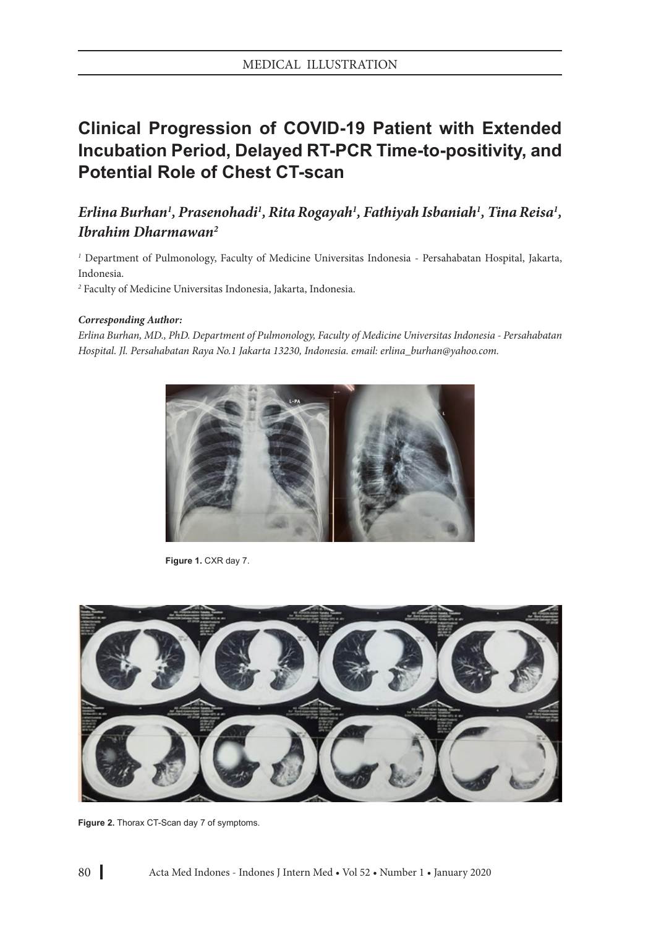## **Clinical Progression of COVID-19 Patient with Extended Incubation Period, Delayed RT-PCR Time-to-positivity, and Potential Role of Chest CT-scan**

## *Erlina Burhan1 , Prasenohadi1 , Rita Rogayah1 , Fathiyah Isbaniah1 , Tina Reisa1 , Ibrahim Dharmawan2*

*1* Department of Pulmonology, Faculty of Medicine Universitas Indonesia - Persahabatan Hospital, Jakarta, Indonesia.

*2* Faculty of Medicine Universitas Indonesia, Jakarta, Indonesia.

## *Corresponding Author:*

*Erlina Burhan, MD., PhD. Department of Pulmonology, Faculty of Medicine Universitas Indonesia - Persahabatan Hospital. Jl. Persahabatan Raya No.1 Jakarta 13230, Indonesia. email: erlina\_burhan@yahoo.com.*



**Figure 1.** CXR day 7.



**Figure 2.** Thorax CT-Scan day 7 of symptoms.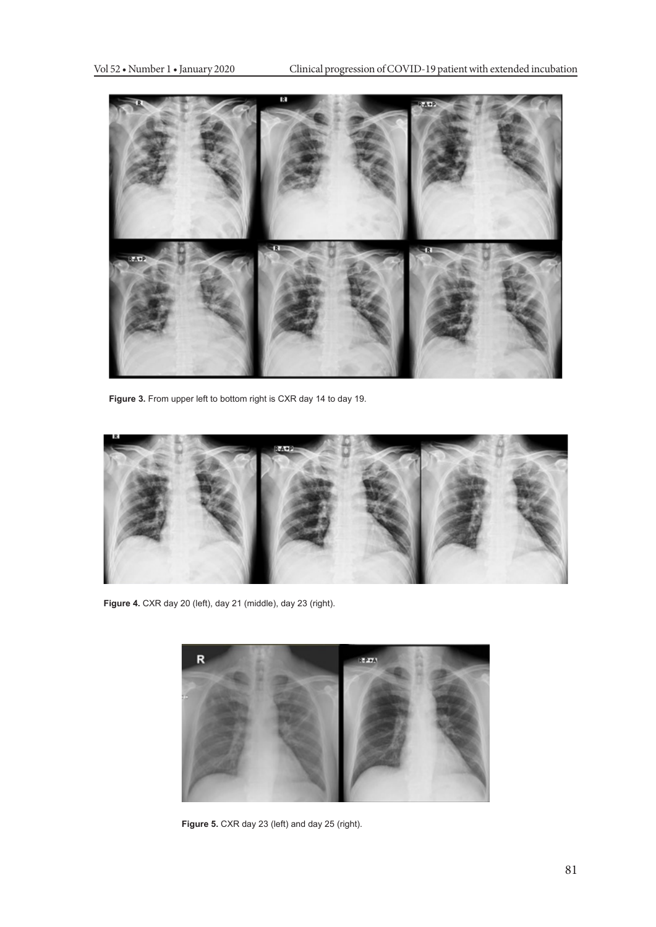

**Figure 3.** From upper left to bottom right is CXR day 14 to day 19.



**Figure 4.** CXR day 20 (left), day 21 (middle), day 23 (right).



Figure 5. CXR day 23 (left) and day 25 (right).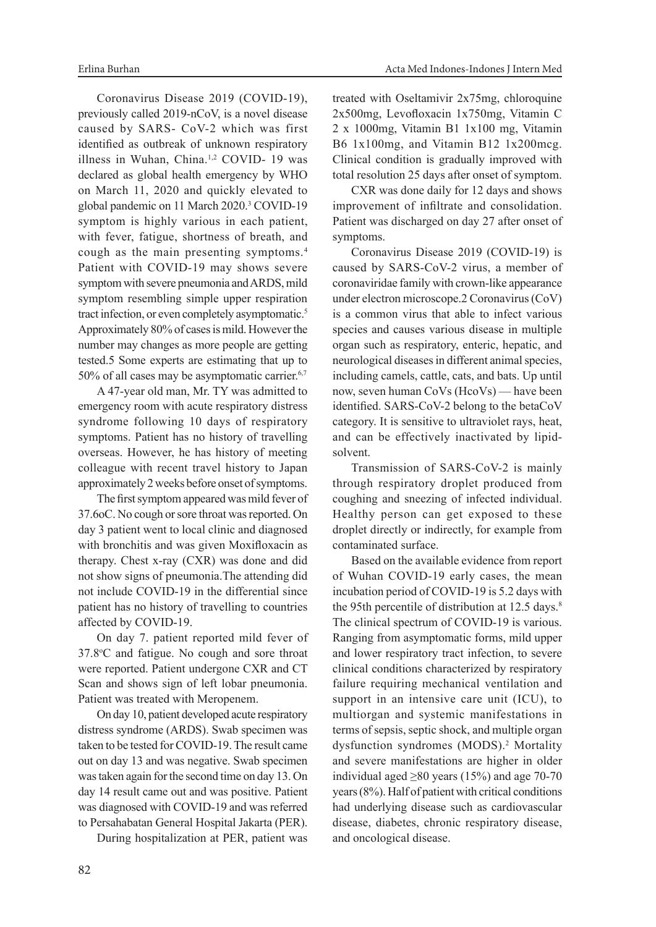Coronavirus Disease 2019 (COVID-19), previously called 2019-nCoV, is a novel disease caused by SARS- CoV-2 which was first identified as outbreak of unknown respiratory illness in Wuhan, China.1,2 COVID- 19 was declared as global health emergency by WHO on March 11, 2020 and quickly elevated to global pandemic on 11 March 2020.<sup>3</sup> COVID-19 symptom is highly various in each patient, with fever, fatigue, shortness of breath, and cough as the main presenting symptoms.4 Patient with COVID-19 may shows severe symptom with severe pneumonia and ARDS, mild symptom resembling simple upper respiration tract infection, or even completely asymptomatic.<sup>5</sup> Approximately 80% of cases is mild. However the number may changes as more people are getting tested.5 Some experts are estimating that up to 50% of all cases may be asymptomatic carrier.<sup>6,7</sup>

A 47-year old man, Mr. TY was admitted to emergency room with acute respiratory distress syndrome following 10 days of respiratory symptoms. Patient has no history of travelling overseas. However, he has history of meeting colleague with recent travel history to Japan approximately 2 weeks before onset of symptoms.

The first symptom appeared was mild fever of 37.6oC. No cough or sore throat was reported. On day 3 patient went to local clinic and diagnosed with bronchitis and was given Moxifloxacin as therapy. Chest x-ray (CXR) was done and did not show signs of pneumonia.The attending did not include COVID-19 in the differential since patient has no history of travelling to countries affected by COVID-19.

On day 7. patient reported mild fever of 37.8°C and fatigue. No cough and sore throat were reported. Patient undergone CXR and CT Scan and shows sign of left lobar pneumonia. Patient was treated with Meropenem.

On day 10, patient developed acute respiratory distress syndrome (ARDS). Swab specimen was taken to be tested for COVID-19. The result came out on day 13 and was negative. Swab specimen was taken again for the second time on day 13. On day 14 result came out and was positive. Patient was diagnosed with COVID-19 and was referred to Persahabatan General Hospital Jakarta (PER).

During hospitalization at PER, patient was

treated with Oseltamivir 2x75mg, chloroquine 2x500mg, Levofloxacin 1x750mg, Vitamin C 2 x 1000mg, Vitamin B1 1x100 mg, Vitamin B6 1x100mg, and Vitamin B12 1x200mcg. Clinical condition is gradually improved with total resolution 25 days after onset of symptom.

CXR was done daily for 12 days and shows improvement of infiltrate and consolidation. Patient was discharged on day 27 after onset of symptoms.

Coronavirus Disease 2019 (COVID-19) is caused by SARS-CoV-2 virus, a member of coronaviridae family with crown-like appearance under electron microscope.2 Coronavirus (CoV) is a common virus that able to infect various species and causes various disease in multiple organ such as respiratory, enteric, hepatic, and neurological diseases in different animal species, including camels, cattle, cats, and bats. Up until now, seven human CoVs (HcoVs) — have been identified. SARS-CoV-2 belong to the betaCoV category. It is sensitive to ultraviolet rays, heat, and can be effectively inactivated by lipidsolvent.

Transmission of SARS-CoV-2 is mainly through respiratory droplet produced from coughing and sneezing of infected individual. Healthy person can get exposed to these droplet directly or indirectly, for example from contaminated surface.

Based on the available evidence from report of Wuhan COVID-19 early cases, the mean incubation period of COVID-19 is 5.2 days with the 95th percentile of distribution at 12.5 days.<sup>8</sup> The clinical spectrum of COVID-19 is various. Ranging from asymptomatic forms, mild upper and lower respiratory tract infection, to severe clinical conditions characterized by respiratory failure requiring mechanical ventilation and support in an intensive care unit (ICU), to multiorgan and systemic manifestations in terms of sepsis, septic shock, and multiple organ dysfunction syndromes (MODS).<sup>2</sup> Mortality and severe manifestations are higher in older individual aged  $\geq 80$  years (15%) and age 70-70 years (8%). Half of patient with critical conditions had underlying disease such as cardiovascular disease, diabetes, chronic respiratory disease, and oncological disease.